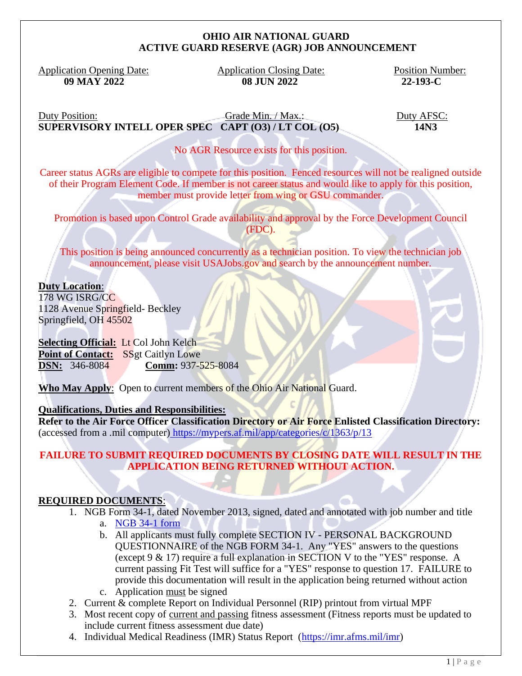#### **OHIO AIR NATIONAL GUARD ACTIVE GUARD RESERVE (AGR) JOB ANNOUNCEMENT**

Application Opening Date: Application Closing Date: Position Number: Position Number: 09 MAY 2022  **09 MAY 2022 08 JUN 2022 22-193-C**

Duty Position: Grade Min. / Max.: Duty AFSC: **SUPERVISORY INTELL OPER SPEC CAPT (O3) / LT COL (O5) 14N3**

# No AGR Resource exists for this position.

Career status AGRs are eligible to compete for this position. Fenced resources will not be realigned outside of their Program Element Code. If member is not career status and would like to apply for this position, member must provide letter from wing or GSU commander.

Promotion is based upon Control Grade availability and approval by the Force Development Council (FDC).

This position is being announced concurrently as a technician position. To view the technician job announcement, please visit USAJobs.gov and search by the announcement number.

### **Duty Location**:

178 WG ISRG/CC 1128 Avenue Springfield- Beckley Springfield, OH 45502

**Selecting Official:** Lt Col John Kelch Point of Contact: SS<sub>gt</sub> Caitlyn Lowe **DSN:** 346-8084 **Comm:** 937-525-8084

**Who May Apply**: Open to current members of the Ohio Air National Guard.

### **Qualifications, Duties and Responsibilities:**

**Refer to the Air Force Officer Classification Directory or Air Force Enlisted Classification Directory:** (accessed from a .mil computer) <https://mypers.af.mil/app/categories/c/1363/p/13>

# **FAILURE TO SUBMIT REQUIRED DOCUMENTS BY CLOSING DATE WILL RESULT IN THE APPLICATION BEING RETURNED WITHOUT ACTION.**

# **REQUIRED DOCUMENTS**:

- 1. NGB Form 34-1, dated November 2013, signed, dated and annotated with job number and title
	- a. [NGB 34-1 form](file:///C:/Users/bethany.d.tronafarle/Desktop/NGB%2034-1.pdf)
	- b. All applicants must fully complete SECTION IV PERSONAL BACKGROUND QUESTIONNAIRE of the NGB FORM 34-1. Any "YES" answers to the questions (except 9 & 17) require a full explanation in SECTION V to the "YES" response. A current passing Fit Test will suffice for a "YES" response to question 17. FAILURE to provide this documentation will result in the application being returned without action c. Application must be signed
- 2. Current & complete Report on Individual Personnel (RIP) printout from virtual MPF
- 3. Most recent copy of current and passing fitness assessment (Fitness reports must be updated to include current fitness assessment due date)
- 4. Individual Medical Readiness (IMR) Status Report [\(https://imr.afms.mil/imr\)](https://imr.afms.mil/imr)